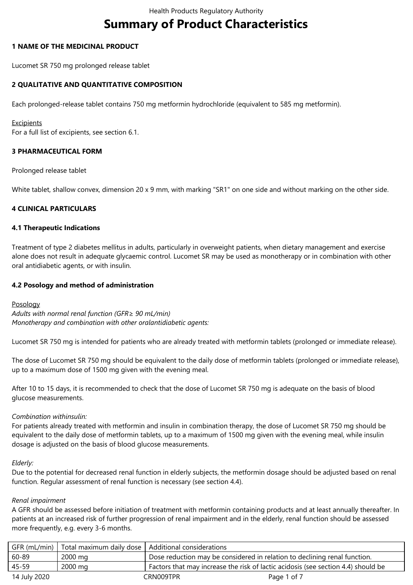# **Summary of Product Characteristics**

# **1 NAME OF THE MEDICINAL PRODUCT**

Lucomet SR 750 mg prolonged release tablet

# **2 QUALITATIVE AND QUANTITATIVE COMPOSITION**

Each prolonged-release tablet contains 750 mg metformin hydrochloride (equivalent to 585 mg metformin).

#### **Excipients**

For a full list of excipients, see section 6.1.

# **3 PHARMACEUTICAL FORM**

Prolonged release tablet

White tablet, shallow convex, dimension 20 x 9 mm, with marking "SR1" on one side and without marking on the other side.

# **4 CLINICAL PARTICULARS**

## **4.1 Therapeutic Indications**

Treatment of type 2 diabetes mellitus in adults, particularly in overweight patients, when dietary management and exercise alone does not result in adequate glycaemic control. Lucomet SR may be used as monotherapy or in combination with other oral antidiabetic agents, or with insulin.

# **4.2 Posology and method of administration**

## Posology

*Adults with normal renal function (GFR≥ 90 mL/min) Monotherapy and combination with other oralantidiabetic agents:*

Lucomet SR 750 mg is intended for patients who are already treated with metformin tablets (prolonged or immediate release).

The dose of Lucomet SR 750 mg should be equivalent to the daily dose of metformin tablets (prolonged or immediate release), up to a maximum dose of 1500 mg given with the evening meal.

After 10 to 15 days, it is recommended to check that the dose of Lucomet SR 750 mg is adequate on the basis of blood glucose measurements.

## *Combination withinsulin:*

For patients already treated with metformin and insulin in combination therapy, the dose of Lucomet SR 750 mg should be equivalent to the daily dose of metformin tablets, up to a maximum of 1500 mg given with the evening meal, while insulin dosage is adjusted on the basis of blood glucose measurements.

## *Elderly:*

Due to the potential for decreased renal function in elderly subjects, the metformin dosage should be adjusted based on renal function. Regular assessment of renal function is necessary (see section 4.4).

## *Renal impairment*

A GFR should be assessed before initiation of treatment with metformin containing products and at least annually thereafter. In patients at an increased risk of further progression of renal impairment and in the elderly, renal function should be assessed more frequently, e.g. every 3-6 months.

|              | GFR (mL/min)   Total maximum daily dose   Additional considerations |                                                                                   |             |
|--------------|---------------------------------------------------------------------|-----------------------------------------------------------------------------------|-------------|
| 60-89        | 2000 mg                                                             | Dose reduction may be considered in relation to declining renal function.         |             |
| 45-59        | 2000 mg                                                             | Factors that may increase the risk of lactic acidosis (see section 4.4) should be |             |
| 14 July 2020 |                                                                     | CRN009TPR                                                                         | Page 1 of 7 |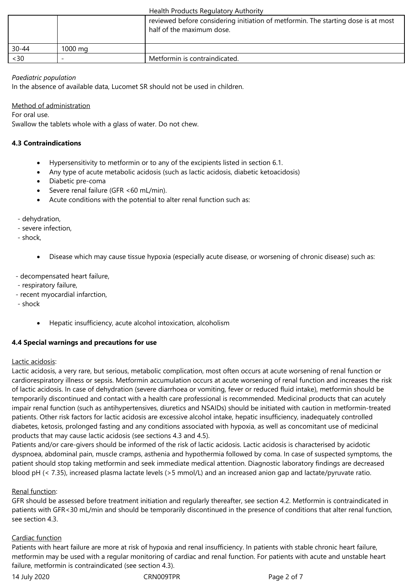|           |                   | reviewed before considering initiation of metformin. The starting dose is at most<br>half of the maximum dose. |
|-----------|-------------------|----------------------------------------------------------------------------------------------------------------|
| $30 - 44$ | $1000 \text{ ma}$ |                                                                                                                |
| <30       |                   | Metformin is contraindicated.                                                                                  |

# *Paediatric population*

In the absence of available data, Lucomet SR should not be used in children.

# Method of administration

For oral use.

Swallow the tablets whole with a glass of water. Do not chew.

# **4.3 Contraindications**

- Hypersensitivity to metformin or to any of the excipients listed in section 6.1.
- Any type of acute metabolic acidosis (such as lactic acidosis, diabetic ketoacidosis)
- Diabetic pre-coma
- Severe renal failure (GFR <60 mL/min).
- Acute conditions with the potential to alter renal function such as:
- dehydration,
- severe infection,
- shock,
	- Disease which may cause tissue hypoxia (especially acute disease, or worsening of chronic disease) such as:
- decompensated heart failure,
- respiratory failure,
- recent myocardial infarction,
- shock
	- Hepatic insufficiency, acute alcohol intoxication, alcoholism

# **4.4 Special warnings and precautions for use**

## Lactic acidosis:

Lactic acidosis, a very rare, but serious, metabolic complication, most often occurs at acute worsening of renal function or cardiorespiratory illness or sepsis. Metformin accumulation occurs at acute worsening of renal function and increases the risk of lactic acidosis. In case of dehydration (severe diarrhoea or vomiting, fever or reduced fluid intake), metformin should be temporarily discontinued and contact with a health care professional is recommended. Medicinal products that can acutely impair renal function (such as antihypertensives, diuretics and NSAIDs) should be initiated with caution in metformin-treated patients. Other risk factors for lactic acidosis are excessive alcohol intake, hepatic insufficiency, inadequately controlled diabetes, ketosis, prolonged fasting and any conditions associated with hypoxia, as well as concomitant use of medicinal products that may cause lactic acidosis (see sections 4.3 and 4.5).

Patients and/or care-givers should be informed of the risk of lactic acidosis. Lactic acidosis is characterised by acidotic dyspnoea, abdominal pain, muscle cramps, asthenia and hypothermia followed by coma. In case of suspected symptoms, the patient should stop taking metformin and seek immediate medical attention. Diagnostic laboratory findings are decreased blood pH (< 7.35), increased plasma lactate levels (>5 mmol/L) and an increased anion gap and lactate/pyruvate ratio.

## Renal function:

GFR should be assessed before treatment initiation and regularly thereafter, see section 4.2. Metformin is contraindicated in patients with GFR<30 mL/min and should be temporarily discontinued in the presence of conditions that alter renal function, see section 4.3.

## Cardiac function

Patients with heart failure are more at risk of hypoxia and renal insufficiency. In patients with stable chronic heart failure, metformin may be used with a regular monitoring of cardiac and renal function. For patients with acute and unstable heart failure, metformin is contraindicated (see section 4.3).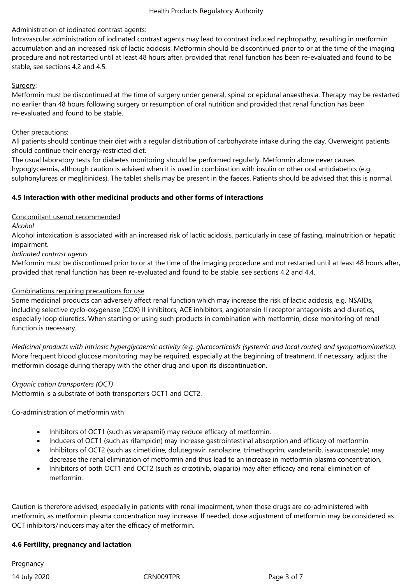# Administration of iodinated contrast agents:

Intravascular administration of iodinated contrast agents may lead to contrast induced nephropathy, resulting in metformin accumulation and an increased risk of lactic acidosis. Metformin should be discontinued prior to or at the time of the imaging procedure and not restarted until at least 48 hours after, provided that renal function has been re-evaluated and found to be stable, see sections 4.2 and 4.5.

# Surgery:

Metformin must be discontinued at the time of surgery under general, spinal or epidural anaesthesia. Therapy may be restarted no earlier than 48 hours following surgery or resumption of oral nutrition and provided that renal function has been re-evaluated and found to be stable.

# Other precautions:

All patients should continue their diet with a regular distribution of carbohydrate intake during the day. Overweight patients should continue their energy-restricted diet.

The usual laboratory tests for diabetes monitoring should be performed regularly. Metformin alone never causes hypoglycaemia, although caution is advised when it is used in combination with insulin or other oral antidiabetics (e.g. sulphonylureas or meglitinides). The tablet shells may be present in the faeces. Patients should be advised that this is normal.

# **4.5 Interaction with other medicinal products and other forms of interactions**

# Concomitant usenot recommended

*Alcohol*

Alcohol intoxication is associated with an increased risk of lactic acidosis, particularly in case of fasting, malnutrition or hepatic impairment.

*Iodinated contrast agents*

Metformin must be discontinued prior to or at the time of the imaging procedure and not restarted until at least 48 hours after, provided that renal function has been re-evaluated and found to be stable, see sections 4.2 and 4.4.

# Combinations requiring precautions for use

Some medicinal products can adversely affect renal function which may increase the risk of lactic acidosis, e.g. NSAIDs, including selective cyclo-oxygenase (COX) II inhibitors, ACE inhibitors, angiotensin II receptor antagonists and diuretics, especially loop diuretics. When starting or using such products in combination with metformin, close monitoring of renal function is necessary.

*Medicinal products with intrinsic hyperglycaemic activity (e.g. glucocorticoids (systemic and local routes) and sympathomimetics).* More frequent blood glucose monitoring may be required, especially at the beginning of treatment. If necessary, adjust the metformin dosage during therapy with the other drug and upon its discontinuation.

# *Organic cation transporters (OCT)*

Metformin is a substrate of both transporters OCT1 and OCT2.

Co-administration of metformin with

- Inhibitors of OCT1 (such as verapamil) may reduce efficacy of metformin.
- Inducers of OCT1 (such as rifampicin) may increase gastrointestinal absorption and efficacy of metformin.
- Inhibitors of OCT2 (such as cimetidine, dolutegravir, ranolazine, trimethoprim, vandetanib, isavuconazole) may decrease the renal elimination of metformin and thus lead to an increase in metformin plasma concentration.
- Inhibitors of both OCT1 and OCT2 (such as crizotinib, olaparib) may alter efficacy and renal elimination of metformin.

Caution is therefore advised, especially in patients with renal impairment, when these drugs are co-administered with metformin, as metformin plasma concentration may increase. If needed, dose adjustment of metformin may be considered as OCT inhibitors/inducers may alter the efficacy of metformin.

# **4.6 Fertility, pregnancy and lactation**

**Pregnancy** 

14 July 2020 CRN009TPR Page 3 of 7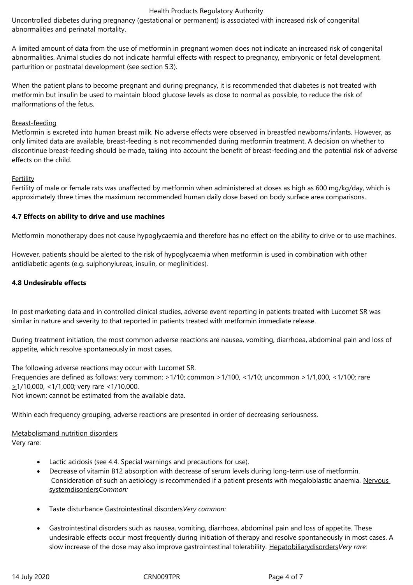Uncontrolled diabetes during pregnancy (gestational or permanent) is associated with increased risk of congenital abnormalities and perinatal mortality.

A limited amount of data from the use of metformin in pregnant women does not indicate an increased risk of congenital abnormalities. Animal studies do not indicate harmful effects with respect to pregnancy, embryonic or fetal development, parturition or postnatal development (see section 5.3).

When the patient plans to become pregnant and during pregnancy, it is recommended that diabetes is not treated with metformin but insulin be used to maintain blood glucose levels as close to normal as possible, to reduce the risk of malformations of the fetus.

# Breast-feeding

Metformin is excreted into human breast milk. No adverse effects were observed in breastfed newborns/infants. However, as only limited data are available, breast-feeding is not recommended during metformin treatment. A decision on whether to discontinue breast-feeding should be made, taking into account the benefit of breast-feeding and the potential risk of adverse effects on the child.

## Fertility

Fertility of male or female rats was unaffected by metformin when administered at doses as high as 600 mg/kg/day, which is approximately three times the maximum recommended human daily dose based on body surface area comparisons.

## **4.7 Effects on ability to drive and use machines**

Metformin monotherapy does not cause hypoglycaemia and therefore has no effect on the ability to drive or to use machines.

However, patients should be alerted to the risk of hypoglycaemia when metformin is used in combination with other antidiabetic agents (e.g. sulphonylureas, insulin, or meglinitides).

# **4.8 Undesirable effects**

In post marketing data and in controlled clinical studies, adverse event reporting in patients treated with Lucomet SR was similar in nature and severity to that reported in patients treated with metformin immediate release.

During treatment initiation, the most common adverse reactions are nausea, vomiting, diarrhoea, abdominal pain and loss of appetite, which resolve spontaneously in most cases.

The following adverse reactions may occur with Lucomet SR. Frequencies are defined as follows: very common:  $>1/10$ ; common  $\geq 1/100$ , <1/10; uncommon  $\geq 1/1,000$ , <1/100; rare  $\geq$ 1/10,000, <1/1,000; very rare <1/10,000. Not known: cannot be estimated from the available data.

Within each frequency grouping, adverse reactions are presented in order of decreasing seriousness.

## Metabolismand nutrition disorders Very rare:

- Lactic acidosis (see 4.4. Special warnings and precautions for use).
- Decrease of vitamin B12 absorption with decrease of serum levels during long-term use of metformin. Consideration of such an aetiology is recommended if a patient presents with megaloblastic anaemia. Nervous systemdisorders*Common:*
- Taste disturbance Gastrointestinal disorders*Very common:*
- Gastrointestinal disorders such as nausea, vomiting, diarrhoea, abdominal pain and loss of appetite. These undesirable effects occur most frequently during initiation of therapy and resolve spontaneously in most cases. A slow increase of the dose may also improve gastrointestinal tolerability. Hepatobiliarydisorders*Very rare:*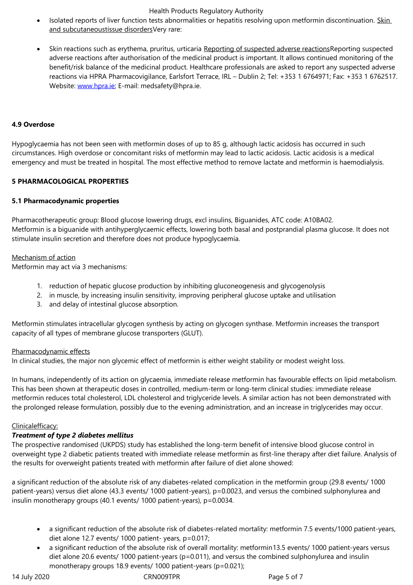Skin reactions such as erythema, pruritus, urticaria Reporting of suspected adverse reactions Reporting suspected adverse reactions after authorisation of the medicinal product is important. It allows continued monitoring of the benefit/risk balance of the medicinal product. Healthcare professionals are asked to report any suspected adverse reactions via HPRA Pharmacovigilance, Earlsfort Terrace, IRL – Dublin 2; Tel: +353 1 6764971; Fax: +353 1 6762517. Website: www.hpra.ie; E-mail: medsafety@hpra.ie.

# **4.9 Overdose**

Hypoglycaemia has not been seen with metformin doses of up to 85 g, although lactic acidosis has occurred in such circumstances. High overdose or concomitant risks of metformin may lead to lactic acidosis. Lactic acidosis is a medical emergency and must be treated in hospital. The most effective method to remove lactate and metformin is haemodialysis.

# **5 PHARMACOLOGICAL PROPERTIES**

## **5.1 Pharmacodynamic properties**

Pharmacotherapeutic group: Blood glucose lowering drugs, excl insulins, Biguanides, ATC code: A10BA02. Metformin is a biguanide with antihyperglycaemic effects, lowering both basal and postprandial plasma glucose. It does not stimulate insulin secretion and therefore does not produce hypoglycaemia.

# Mechanism of action

Metformin may act via 3 mechanisms:

- 1. reduction of hepatic glucose production by inhibiting gluconeogenesis and glycogenolysis
- 2. in muscle, by increasing insulin sensitivity, improving peripheral glucose uptake and utilisation
- 3. and delay of intestinal glucose absorption.

Metformin stimulates intracellular glycogen synthesis by acting on glycogen synthase. Metformin increases the transport capacity of all types of membrane glucose transporters (GLUT).

# Pharmacodynamic effects

In clinical studies, the major non glycemic effect of metformin is either weight stability or modest weight loss.

In humans, independently of its action on glycaemia, immediate release metformin has favourable effects on lipid metabolism. This has been shown at therapeutic doses in controlled, medium-term or long-term clinical studies: immediate release metformin reduces total cholesterol, LDL cholesterol and triglyceride levels. A similar action has not been demonstrated with the prolonged release formulation, possibly due to the evening administration, and an increase in triglycerides may occur.

# Clinicalefficacy:

# *Treatment of type 2 diabetes mellitus*

The prospective randomised (UKPDS) study has established the long-term benefit of intensive blood glucose control in overweight type 2 diabetic patients treated with immediate release metformin as first-line therapy after diet failure. Analysis of the results for overweight patients treated with metformin after failure of diet alone showed:

a significant reduction of the absolute risk of any diabetes-related complication in the metformin group (29.8 events/ 1000 patient-years) versus diet alone (43.3 events/ 1000 patient-years), p=0.0023, and versus the combined sulphonylurea and insulin monotherapy groups (40.1 events/ 1000 patient-years), p=0.0034.

- a significant reduction of the absolute risk of diabetes-related mortality: metformin 7.5 events/1000 patient-years, diet alone 12.7 events/ 1000 patient- years, p=0.017;
- a significant reduction of the absolute risk of overall mortality: metformin13.5 events/ 1000 patient-years versus diet alone 20.6 events/ 1000 patient-years (p=0.011), and versus the combined sulphonylurea and insulin monotherapy groups 18.9 events/ 1000 patient-years (p=0.021);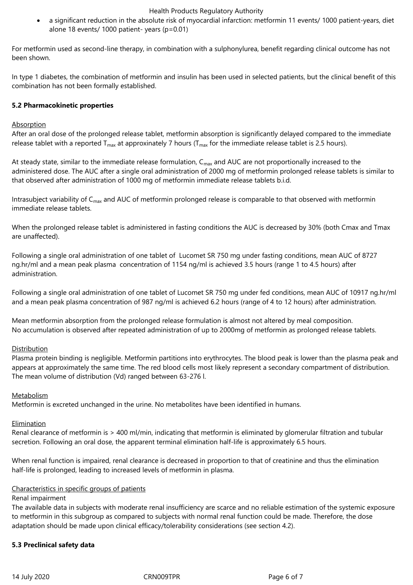a significant reduction in the absolute risk of myocardial infarction: metformin 11 events/ 1000 patient-years, diet alone 18 events/ 1000 patient- years (p=0.01)

For metformin used as second-line therapy, in combination with a sulphonylurea, benefit regarding clinical outcome has not been shown.

In type 1 diabetes, the combination of metformin and insulin has been used in selected patients, but the clinical benefit of this combination has not been formally established.

## **5.2 Pharmacokinetic properties**

## **Absorption**

After an oral dose of the prolonged release tablet, metformin absorption is significantly delayed compared to the immediate release tablet with a reported  $T_{max}$  at approxinately 7 hours ( $T_{max}$  for the immediate release tablet is 2.5 hours).

At steady state, similar to the immediate release formulation, C<sub>max</sub> and AUC are not proportionally increased to the administered dose. The AUC after a single oral administration of 2000 mg of metformin prolonged release tablets is similar to that observed after administration of 1000 mg of metformin immediate release tablets b.i.d.

Intrasubject variability of C<sub>max</sub> and AUC of metformin prolonged release is comparable to that observed with metformin immediate release tablets.

When the prolonged release tablet is administered in fasting conditions the AUC is decreased by 30% (both Cmax and Tmax are unaffected).

Following a single oral administration of one tablet of Lucomet SR 750 mg under fasting conditions, mean AUC of 8727 ng.hr/ml and a mean peak plasma concentration of 1154 ng/ml is achieved 3.5 hours (range 1 to 4.5 hours) after administration.

Following a single oral administration of one tablet of Lucomet SR 750 mg under fed conditions, mean AUC of 10917 ng.hr/ml and a mean peak plasma concentration of 987 ng/ml is achieved 6.2 hours (range of 4 to 12 hours) after administration.

Mean metformin absorption from the prolonged release formulation is almost not altered by meal composition. No accumulation is observed after repeated administration of up to 2000mg of metformin as prolonged release tablets.

## Distribution

Plasma protein binding is negligible. Metformin partitions into erythrocytes. The blood peak is lower than the plasma peak and appears at approximately the same time. The red blood cells most likely represent a secondary compartment of distribution. The mean volume of distribution (Vd) ranged between 63-276 l.

## Metabolism

Metformin is excreted unchanged in the urine. No metabolites have been identified in humans.

## Elimination

Renal clearance of metformin is > 400 ml/min, indicating that metformin is eliminated by glomerular filtration and tubular secretion. Following an oral dose, the apparent terminal elimination half-life is approximately 6.5 hours.

When renal function is impaired, renal clearance is decreased in proportion to that of creatinine and thus the elimination half-life is prolonged, leading to increased levels of metformin in plasma.

## Characteristics in specific groups of patients

## Renal impairment

The available data in subjects with moderate renal insufficiency are scarce and no reliable estimation of the systemic exposure to metformin in this subgroup as compared to subjects with normal renal function could be made. Therefore, the dose adaptation should be made upon clinical efficacy/tolerability considerations (see section 4.2).

## **5.3 Preclinical safety data**